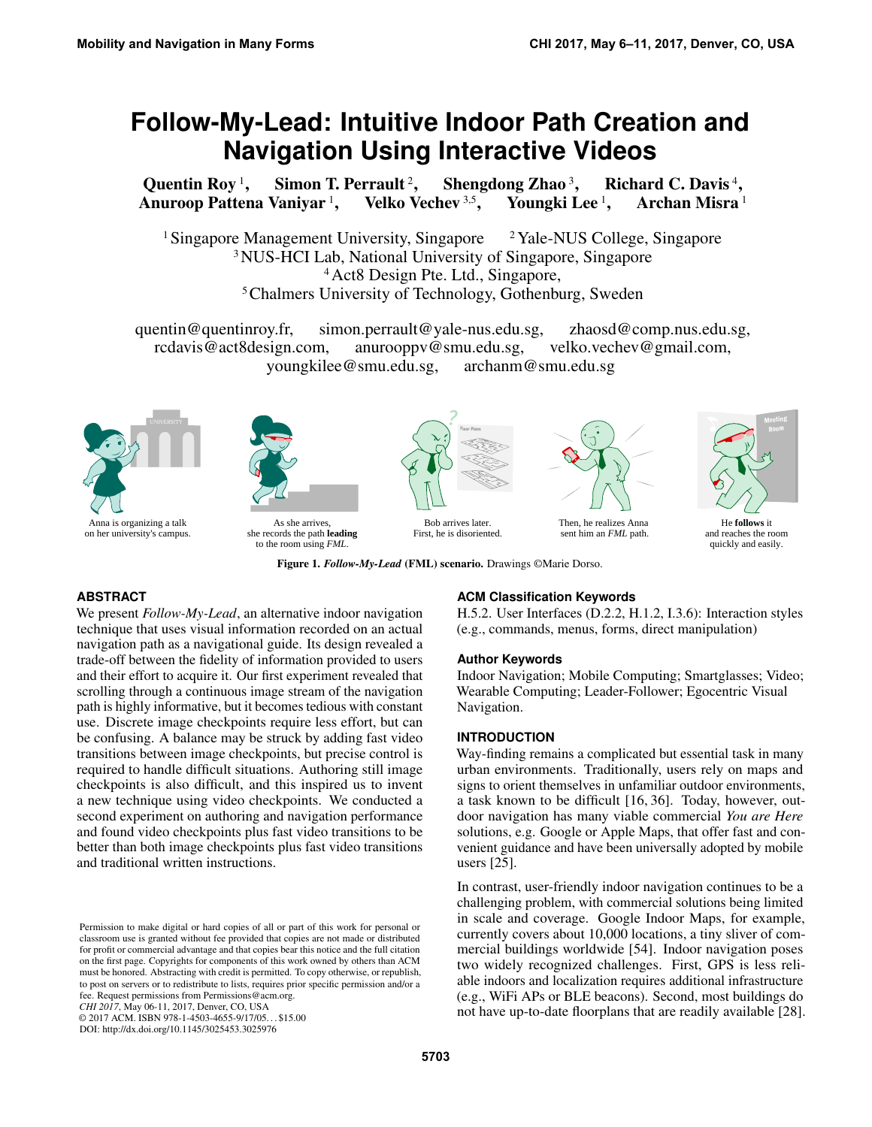# **Follow-My-Lead: Intuitive Indoor Path Creation and Navigation Using Interactive Videos**

[Quentin Roy](http://quentinroy.fr)<sup>1</sup>, Simon T. Perrault<sup>2</sup>, Shengdong Zhao  $3$ , , [Richard C. Davis](http://act8design.com)<sup>4</sup>, Anuroop Pattena Vaniyar<sup>1</sup>, Velko Vechev<sup>3,5</sup>, [Youngki Lee](http://youngkilee.blogspot.sg)<sup>1</sup>, Archan Misra<sup>1</sup>

Singapore Management University, Singapore  $2$  Yale-NUS College, Singapore NUS-HCI Lab, National University of Singapore, Singapore Act8 Design Pte. Ltd., Singapore, Chalmers University of Technology, Gothenburg, Sweden

quentin@quentinroy.fr, simon.perrault@yale-nus.edu.sg, zhaosd@comp.nus.edu.sg, rcdavis@act8design.com, anurooppv@smu.edu.sg, velko.vechev@gmail.com, youngkilee@smu.edu.sg, archanm@smu.edu.sg





As she arrives, she records the path **leading** to the room using *FML*.



First, he is disoriented.



Then, he realizes Anna sent him an *FML* path.



He **follows** it and reaches the room quickly and easily.

<span id="page-0-0"></span>Figure 1. *Follow-My-Lead* (FML) scenario. Drawings ©Marie Dorso.

# **ABSTRACT**

We present *Follow-My-Lead*, an alternative indoor navigation technique that uses visual information recorded on an actual navigation path as a navigational guide. Its design revealed a trade-off between the fidelity of information provided to users and their effort to acquire it. Our first experiment revealed that scrolling through a continuous image stream of the navigation path is highly informative, but it becomes tedious with constant use. Discrete image checkpoints require less effort, but can be confusing. A balance may be struck by adding fast video transitions between image checkpoints, but precise control is required to handle difficult situations. Authoring still image checkpoints is also difficult, and this inspired us to invent a new technique using video checkpoints. We conducted a second experiment on authoring and navigation performance and found video checkpoints plus fast video transitions to be better than both image checkpoints plus fast video transitions and traditional written instructions.

*CHI 2017*, May 06-11, 2017, Denver, CO, USA

© 2017 ACM. ISBN 978-1-4503-4655-9/17/05. . . \$15.00

DOI: http://dx.doi.org/10.1145/3025453.3025976

# **ACM Classification Keywords**

H.5.2. User Interfaces (D.2.2, H.1.2, I.3.6): Interaction styles (e.g., commands, menus, forms, direct manipulation)

#### **Author Keywords**

Indoor Navigation; Mobile Computing; Smartglasses; Video; Wearable Computing; Leader-Follower; Egocentric Visual Navigation.

## **INTRODUCTION**

Way-finding remains a complicated but essential task in many urban environments. Traditionally, users rely on maps and signs to orient themselves in unfamiliar outdoor environments, a task known to be difficult [\[16,](#page-10-0) [36\]](#page-11-0). Today, however, outdoor navigation has many viable commercial *You are Here* solutions, e.g. Google or Apple Maps, that offer fast and convenient guidance and have been universally adopted by mobile users [\[25\]](#page-11-1).

In contrast, user-friendly indoor navigation continues to be a challenging problem, with commercial solutions being limited in scale and coverage. Google Indoor Maps, for example, currently covers about 10,000 locations, a tiny sliver of commercial buildings worldwide [\[54\]](#page-12-0). Indoor navigation poses two widely recognized challenges. First, GPS is less reliable indoors and localization requires additional infrastructure (e.g., WiFi APs or BLE beacons). Second, most buildings do not have up-to-date floorplans that are readily available [\[28\]](#page-11-2).

Permission to make digital or hard copies of all or part of this work for personal or classroom use is granted without fee provided that copies are not made or distributed for profit or commercial advantage and that copies bear this notice and the full citation on the first page. Copyrights for components of this work owned by others than ACM must be honored. Abstracting with credit is permitted. To copy otherwise, or republish, to post on servers or to redistribute to lists, requires prior specific permission and/or a fee. Request permissions from [Permissions@acm.org.](mailto:Permissions@acm.org)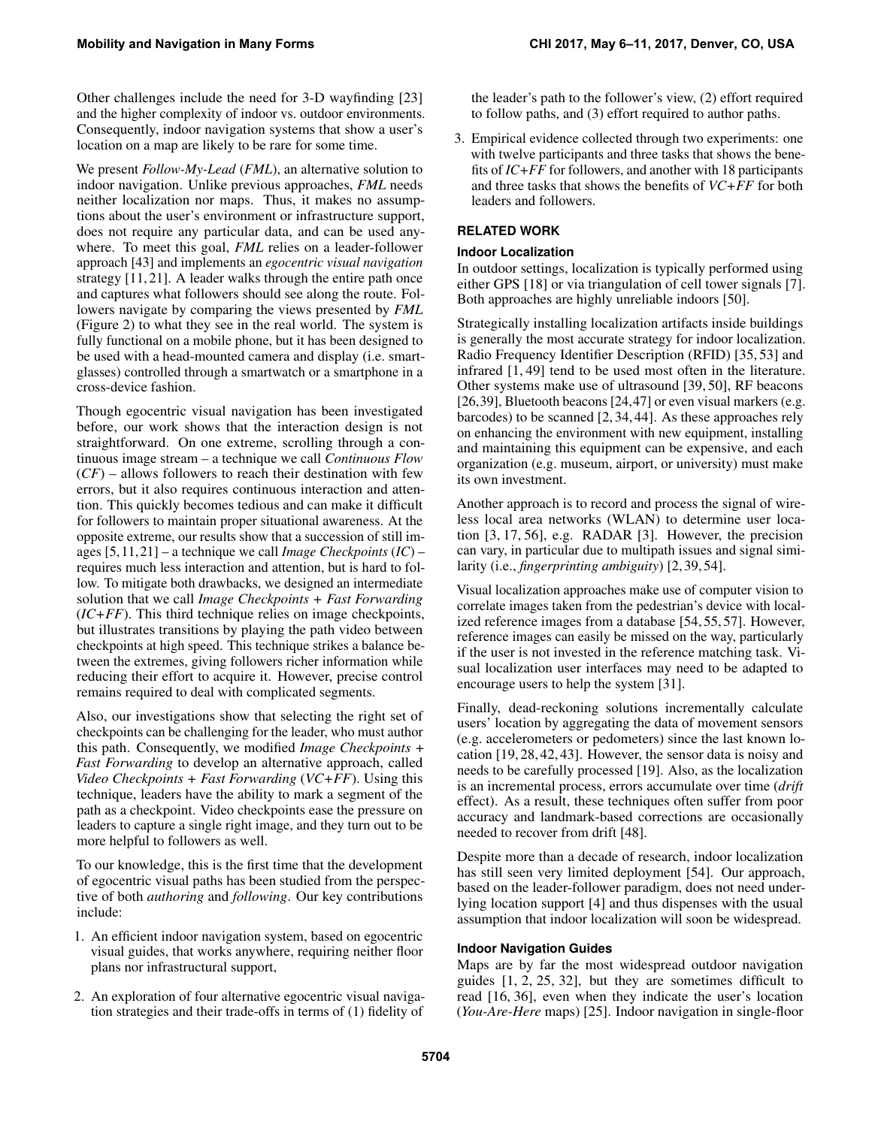Other challenges include the need for 3-D wayfinding [\[23\]](#page-11-3) and the higher complexity of indoor vs. outdoor environments. Consequently, indoor navigation systems that show a user's location on a map are likely to be rare for some time.

We present *Follow-My-Lead* (*FML*), an alternative solution to indoor navigation. Unlike previous approaches, *FML* needs neither localization nor maps. Thus, it makes no assumptions about the user's environment or infrastructure support, does not require any particular data, and can be used anywhere. To meet this goal, *FML* relies on a leader-follower approach [\[43\]](#page-12-1) and implements an *egocentric visual navigation* strategy [\[11,](#page-10-1) [21\]](#page-10-2). A leader walks through the entire path once and captures what followers should see along the route. Followers navigate by comparing the views presented by *FML* (Figure [2\)](#page-2-0) to what they see in the real world. The system is fully functional on a mobile phone, but it has been designed to be used with a head-mounted camera and display (i.e. smartglasses) controlled through a smartwatch or a smartphone in a cross-device fashion.

Though egocentric visual navigation has been investigated before, our work shows that the interaction design is not straightforward. On one extreme, scrolling through a continuous image stream – a technique we call *Continuous Flow*  $(CF)$  – allows followers to reach their destination with few errors, but it also requires continuous interaction and attention. This quickly becomes tedious and can make it difficult for followers to maintain proper situational awareness. At the opposite extreme, our results show that a succession of still images [\[5,](#page-10-3) [11,](#page-10-1) [21\]](#page-10-2) – a technique we call *Image Checkpoints* (*IC*) – requires much less interaction and attention, but is hard to follow. To mitigate both drawbacks, we designed an intermediate solution that we call *Image Checkpoints + Fast Forwarding*  $(IC+FF)$ . This third technique relies on image checkpoints, but illustrates transitions by playing the path video between checkpoints at high speed. This technique strikes a balance between the extremes, giving followers richer information while reducing their effort to acquire it. However, precise control remains required to deal with complicated segments.

Also, our investigations show that selecting the right set of checkpoints can be challenging for the leader, who must author this path. Consequently, we modified *Image Checkpoints + Fast Forwarding* to develop an alternative approach, called *Video Checkpoints + Fast Forwarding* (*VC+FF*). Using this technique, leaders have the ability to mark a segment of the path as a checkpoint. Video checkpoints ease the pressure on leaders to capture a single right image, and they turn out to be more helpful to followers as well.

To our knowledge, this is the first time that the development of egocentric visual paths has been studied from the perspective of both *authoring* and *following*. Our key contributions include:

- 1. An efficient indoor navigation system, based on egocentric visual guides, that works anywhere, requiring neither floor plans nor infrastructural support,
- 2. An exploration of four alternative egocentric visual navigation strategies and their trade-offs in terms of (1) fidelity of

the leader's path to the follower's view, (2) effort required to follow paths, and (3) effort required to author paths.

3. Empirical evidence collected through two experiments: one with twelve participants and three tasks that shows the benefits of *IC+FF* for followers, and another with 18 participants and three tasks that shows the benefits of *VC+FF* for both leaders and followers.

# **RELATED WORK**

# **Indoor Localization**

In outdoor settings, localization is typically performed using either GPS [\[18\]](#page-10-4) or via triangulation of cell tower signals [\[7\]](#page-10-5). Both approaches are highly unreliable indoors [\[50\]](#page-12-2).

Strategically installing localization artifacts inside buildings is generally the most accurate strategy for indoor localization. Radio Frequency Identifier Description (RFID) [\[35,](#page-11-4) [53\]](#page-12-3) and infrared [\[1,](#page-9-0) [49\]](#page-12-4) tend to be used most often in the literature. Other systems make use of ultrasound [\[39,](#page-11-5) [50\]](#page-12-2), RF beacons [\[26,](#page-11-6)[39\]](#page-11-5), Bluetooth beacons [\[24,](#page-11-7)[47\]](#page-12-5) or even visual markers (e.g. barcodes) to be scanned [\[2,](#page-9-1) [34,](#page-11-8) [44\]](#page-12-6). As these approaches rely on enhancing the environment with new equipment, installing and maintaining this equipment can be expensive, and each organization (e.g. museum, airport, or university) must make its own investment.

Another approach is to record and process the signal of wireless local area networks (WLAN) to determine user location [\[3,](#page-9-2) [17,](#page-10-6) [56\]](#page-12-7), e.g. RADAR [\[3\]](#page-9-2). However, the precision can vary, in particular due to multipath issues and signal similarity (i.e., *fingerprinting ambiguity*) [\[2,](#page-9-1) [39,](#page-11-5) [54\]](#page-12-0).

Visual localization approaches make use of computer vision to correlate images taken from the pedestrian's device with localized reference images from a database [\[54,](#page-12-0) [55,](#page-12-8) [57\]](#page-12-9). However, reference images can easily be missed on the way, particularly if the user is not invested in the reference matching task. Visual localization user interfaces may need to be adapted to encourage users to help the system [\[31\]](#page-11-9).

Finally, dead-reckoning solutions incrementally calculate users' location by aggregating the data of movement sensors (e.g. accelerometers or pedometers) since the last known location [\[19,](#page-10-7) [28,](#page-11-2) [42,](#page-12-10) [43\]](#page-12-1). However, the sensor data is noisy and needs to be carefully processed [\[19\]](#page-10-7). Also, as the localization is an incremental process, errors accumulate over time (*drift* effect). As a result, these techniques often suffer from poor accuracy and landmark-based corrections are occasionally needed to recover from drift [\[48\]](#page-12-11).

Despite more than a decade of research, indoor localization has still seen very limited deployment [\[54\]](#page-12-0). Our approach, based on the leader-follower paradigm, does not need underlying location support [\[4\]](#page-10-8) and thus dispenses with the usual assumption that indoor localization will soon be widespread.

# **Indoor Navigation Guides**

Maps are by far the most widespread outdoor navigation guides [\[1,](#page-9-0) [2,](#page-9-1) [25,](#page-11-1) [32\]](#page-11-10), but they are sometimes difficult to read [\[16,](#page-10-0) [36\]](#page-11-0), even when they indicate the user's location (*You-Are-Here* maps) [\[25\]](#page-11-1). Indoor navigation in single-floor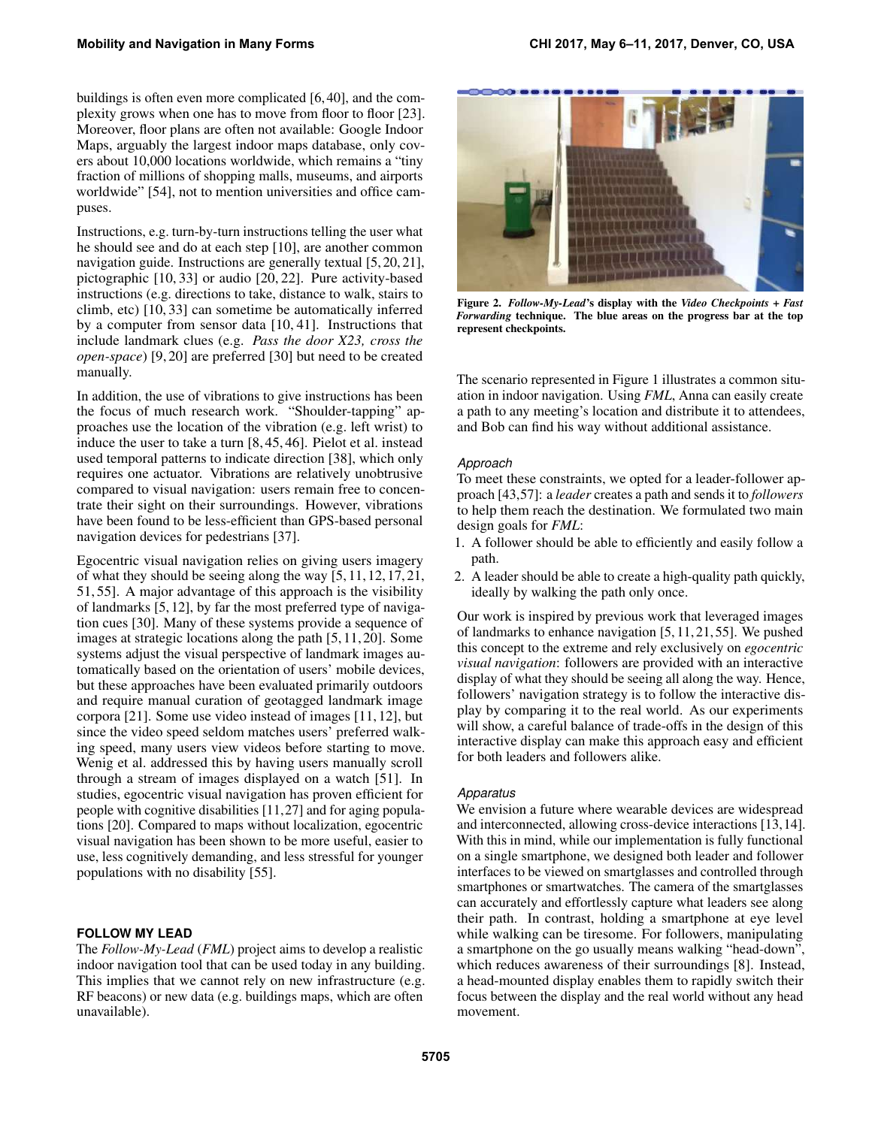buildings is often even more complicated [\[6,](#page-10-9) [40\]](#page-12-12), and the complexity grows when one has to move from floor to floor [\[23\]](#page-11-3). Moreover, floor plans are often not available: Google Indoor Maps, arguably the largest indoor maps database, only covers about 10,000 locations worldwide, which remains a "tiny fraction of millions of shopping malls, museums, and airports worldwide" [\[54\]](#page-12-0), not to mention universities and office campuses.

Instructions, e.g. turn-by-turn instructions telling the user what he should see and do at each step [\[10\]](#page-10-10), are another common navigation guide. Instructions are generally textual [\[5,](#page-10-3) [20,](#page-10-11) [21\]](#page-10-2), pictographic [\[10,](#page-10-10) [33\]](#page-11-11) or audio [\[20,](#page-10-11) [22\]](#page-11-12). Pure activity-based instructions (e.g. directions to take, distance to walk, stairs to climb, etc) [\[10,](#page-10-10) [33\]](#page-11-11) can sometime be automatically inferred by a computer from sensor data [\[10,](#page-10-10) [41\]](#page-12-13). Instructions that include landmark clues (e.g. *Pass the door X23, cross the open-space*) [\[9,](#page-10-12) [20\]](#page-10-11) are preferred [\[30\]](#page-11-13) but need to be created manually.

In addition, the use of vibrations to give instructions has been the focus of much research work. "Shoulder-tapping" approaches use the location of the vibration (e.g. left wrist) to induce the user to take a turn [\[8,](#page-10-13) [45,](#page-12-14) [46\]](#page-12-15). Pielot et al. instead used temporal patterns to indicate direction [\[38\]](#page-11-14), which only requires one actuator. Vibrations are relatively unobtrusive compared to visual navigation: users remain free to concentrate their sight on their surroundings. However, vibrations have been found to be less-efficient than GPS-based personal navigation devices for pedestrians [\[37\]](#page-11-15).

Egocentric visual navigation relies on giving users imagery of what they should be seeing along the way [\[5,](#page-10-3) [11,](#page-10-1) [12,](#page-10-14) [17,](#page-10-6) [21,](#page-10-2) [51,](#page-12-16) [55\]](#page-12-8). A major advantage of this approach is the visibility of landmarks [\[5,](#page-10-3) [12\]](#page-10-14), by far the most preferred type of navigation cues [\[30\]](#page-11-13). Many of these systems provide a sequence of images at strategic locations along the path [\[5,](#page-10-3) [11,](#page-10-1) [20\]](#page-10-11). Some systems adjust the visual perspective of landmark images automatically based on the orientation of users' mobile devices, but these approaches have been evaluated primarily outdoors and require manual curation of geotagged landmark image corpora [\[21\]](#page-10-2). Some use video instead of images [\[11,](#page-10-1) [12\]](#page-10-14), but since the video speed seldom matches users' preferred walking speed, many users view videos before starting to move. Wenig et al. addressed this by having users manually scroll through a stream of images displayed on a watch [\[51\]](#page-12-16). In studies, egocentric visual navigation has proven efficient for people with cognitive disabilities [\[11,](#page-10-1)[27\]](#page-11-16) and for aging populations [\[20\]](#page-10-11). Compared to maps without localization, egocentric visual navigation has been shown to be more useful, easier to use, less cognitively demanding, and less stressful for younger populations with no disability [\[55\]](#page-12-8).

# **FOLLOW MY LEAD**

The *Follow-My-Lead* (*FML*) project aims to develop a realistic indoor navigation tool that can be used today in any building. This implies that we cannot rely on new infrastructure (e.g. RF beacons) or new data (e.g. buildings maps, which are often unavailable).

<span id="page-2-0"></span>

Figure 2. *Follow-My-Lead*'s display with the *Video Checkpoints + Fast Forwarding* technique. The blue areas on the progress bar at the top represent checkpoints.

The scenario represented in Figure [1](#page-0-0) illustrates a common situation in indoor navigation. Using *FML*, Anna can easily create a path to any meeting's location and distribute it to attendees, and Bob can find his way without additional assistance.

#### *Approach*

To meet these constraints, we opted for a leader-follower approach [\[43,](#page-12-1)[57\]](#page-12-9): a *leader* creates a path and sends it to *followers* to help them reach the destination. We formulated two main design goals for *FML*:

- 1. A follower should be able to efficiently and easily follow a path.
- 2. A leader should be able to create a high-quality path quickly, ideally by walking the path only once.

Our work is inspired by previous work that leveraged images of landmarks to enhance navigation [\[5,](#page-10-3) [11,](#page-10-1) [21,](#page-10-2) [55\]](#page-12-8). We pushed this concept to the extreme and rely exclusively on *egocentric visual navigation*: followers are provided with an interactive display of what they should be seeing all along the way. Hence, followers' navigation strategy is to follow the interactive display by comparing it to the real world. As our experiments will show, a careful balance of trade-offs in the design of this interactive display can make this approach easy and efficient for both leaders and followers alike.

#### *Apparatus*

We envision a future where wearable devices are widespread and interconnected, allowing cross-device interactions [\[13,](#page-10-15)[14\]](#page-10-16). With this in mind, while our implementation is fully functional on a single smartphone, we designed both leader and follower interfaces to be viewed on smartglasses and controlled through smartphones or smartwatches. The camera of the smartglasses can accurately and effortlessly capture what leaders see along their path. In contrast, holding a smartphone at eye level while walking can be tiresome. For followers, manipulating a smartphone on the go usually means walking "head-down", which reduces awareness of their surroundings [\[8\]](#page-10-13). Instead, a head-mounted display enables them to rapidly switch their focus between the display and the real world without any head movement.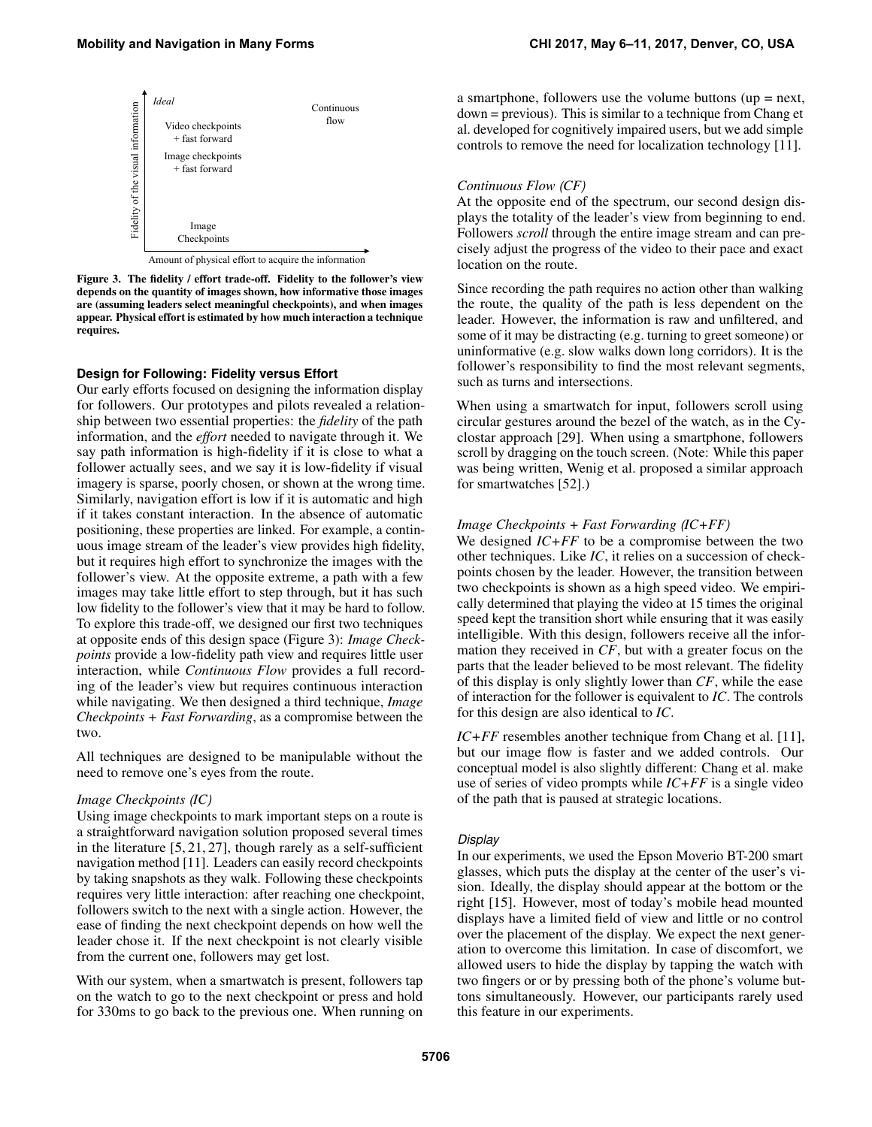<span id="page-3-0"></span>

Amount of physical effort to acquire the information

Figure 3. The fidelity / effort trade-off. Fidelity to the follower's view depends on the quantity of images shown, how informative those images are (assuming leaders select meaningful checkpoints), and when images appear. Physical effort is estimated by how much interaction a technique requires.

#### **Design for Following: Fidelity versus Effort**

Our early efforts focused on designing the information display for followers. Our prototypes and pilots revealed a relationship between two essential properties: the *fidelity* of the path information, and the *effort* needed to navigate through it. We say path information is high-fidelity if it is close to what a follower actually sees, and we say it is low-fidelity if visual imagery is sparse, poorly chosen, or shown at the wrong time. Similarly, navigation effort is low if it is automatic and high if it takes constant interaction. In the absence of automatic positioning, these properties are linked. For example, a continuous image stream of the leader's view provides high fidelity, but it requires high effort to synchronize the images with the follower's view. At the opposite extreme, a path with a few images may take little effort to step through, but it has such low fidelity to the follower's view that it may be hard to follow. To explore this trade-off, we designed our first two techniques at opposite ends of this design space (Figure [3\)](#page-3-0): *Image Checkpoints* provide a low-fidelity path view and requires little user interaction, while *Continuous Flow* provides a full recording of the leader's view but requires continuous interaction while navigating. We then designed a third technique, *Image Checkpoints + Fast Forwarding*, as a compromise between the two.

All techniques are designed to be manipulable without the need to remove one's eyes from the route.

#### *Image Checkpoints (IC)*

Using image checkpoints to mark important steps on a route is a straightforward navigation solution proposed several times in the literature [\[5,](#page-10-3) [21,](#page-10-2) [27\]](#page-11-16), though rarely as a self-sufficient navigation method [\[11\]](#page-10-1). Leaders can easily record checkpoints by taking snapshots as they walk. Following these checkpoints requires very little interaction: after reaching one checkpoint, followers switch to the next with a single action. However, the ease of finding the next checkpoint depends on how well the leader chose it. If the next checkpoint is not clearly visible from the current one, followers may get lost.

With our system, when a smartwatch is present, followers tap on the watch to go to the next checkpoint or press and hold for 330ms to go back to the previous one. When running on

a smartphone, followers use the volume buttons ( $up = next$ , down = previous). This is similar to a technique from Chang et al. developed for cognitively impaired users, but we add simple controls to remove the need for localization technology [\[11\]](#page-10-1).

#### *Continuous Flow (CF)*

At the opposite end of the spectrum, our second design displays the totality of the leader's view from beginning to end. Followers *scroll* through the entire image stream and can precisely adjust the progress of the video to their pace and exact location on the route.

Since recording the path requires no action other than walking the route, the quality of the path is less dependent on the leader. However, the information is raw and unfiltered, and some of it may be distracting (e.g. turning to greet someone) or uninformative (e.g. slow walks down long corridors). It is the follower's responsibility to find the most relevant segments, such as turns and intersections.

When using a smartwatch for input, followers scroll using circular gestures around the bezel of the watch, as in the Cyclostar approach [\[29\]](#page-11-17). When using a smartphone, followers scroll by dragging on the touch screen. (Note: While this paper was being written, Wenig et al. proposed a similar approach for smartwatches [\[52\]](#page-12-17).)

#### *Image Checkpoints + Fast Forwarding (IC+FF)*

We designed *IC+FF* to be a compromise between the two other techniques. Like *IC*, it relies on a succession of checkpoints chosen by the leader. However, the transition between two checkpoints is shown as a high speed video. We empirically determined that playing the video at 15 times the original speed kept the transition short while ensuring that it was easily intelligible. With this design, followers receive all the information they received in *CF*, but with a greater focus on the parts that the leader believed to be most relevant. The fidelity of this display is only slightly lower than *CF*, while the ease of interaction for the follower is equivalent to *IC*. The controls for this design are also identical to *IC*.

*IC+FF* resembles another technique from Chang et al. [\[11\]](#page-10-1), but our image flow is faster and we added controls. Our conceptual model is also slightly different: Chang et al. make use of series of video prompts while *IC+FF* is a single video of the path that is paused at strategic locations.

#### *Display*

In our experiments, we used the Epson Moverio BT-200 smart glasses, which puts the display at the center of the user's vision. Ideally, the display should appear at the bottom or the right [\[15\]](#page-10-17). However, most of today's mobile head mounted displays have a limited field of view and little or no control over the placement of the display. We expect the next generation to overcome this limitation. In case of discomfort, we allowed users to hide the display by tapping the watch with two fingers or or by pressing both of the phone's volume buttons simultaneously. However, our participants rarely used this feature in our experiments.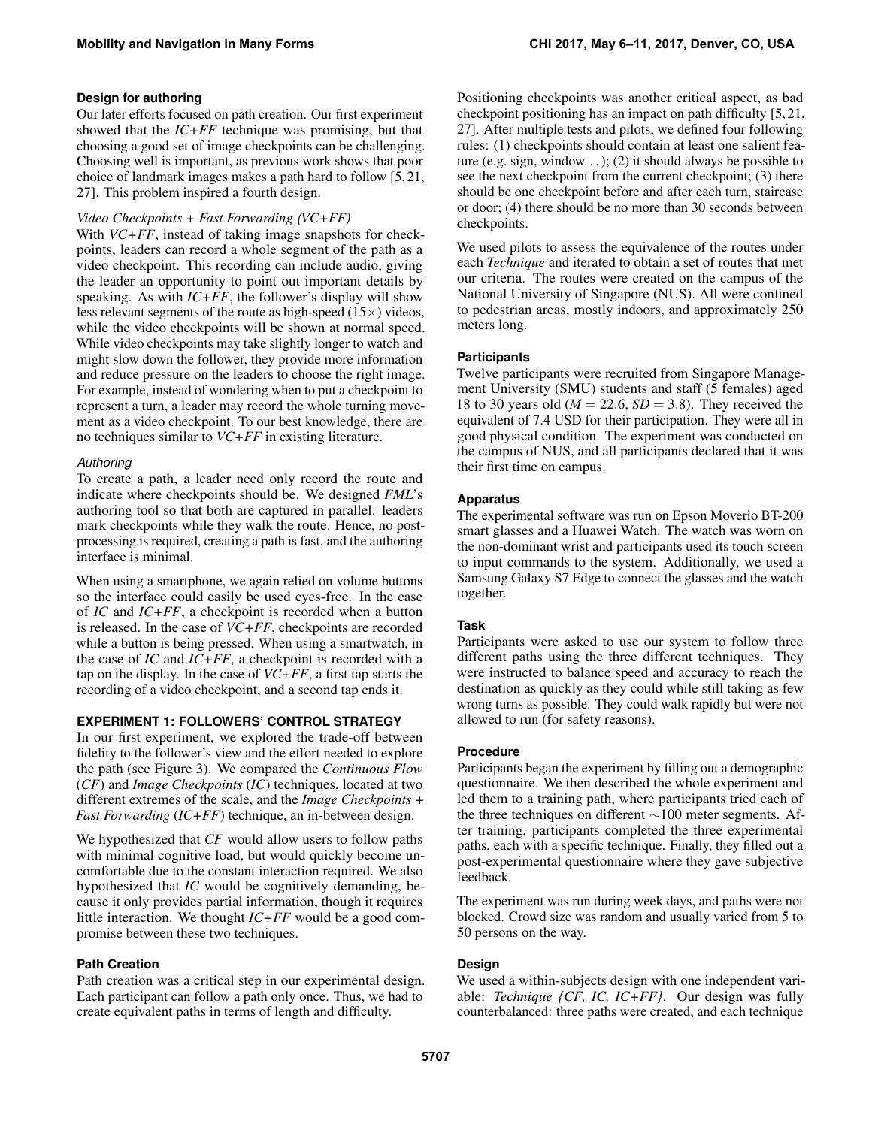# **Design for authoring**

Our later efforts focused on path creation. Our first experiment showed that the *IC+FF* technique was promising, but that choosing a good set of image checkpoints can be challenging. Choosing well is important, as previous work shows that poor choice of landmark images makes a path hard to follow [\[5,](#page-10-3) [21,](#page-10-2) [27\]](#page-11-16). This problem inspired a fourth design.

# *Video Checkpoints + Fast Forwarding (VC+FF)*

With *VC*+*FF*, instead of taking image snapshots for checkpoints, leaders can record a whole segment of the path as a video checkpoint. This recording can include audio, giving the leader an opportunity to point out important details by speaking. As with *IC+FF*, the follower's display will show less relevant segments of the route as high-speed  $(15\times)$  videos, while the video checkpoints will be shown at normal speed. While video checkpoints may take slightly longer to watch and might slow down the follower, they provide more information and reduce pressure on the leaders to choose the right image. For example, instead of wondering when to put a checkpoint to represent a turn, a leader may record the whole turning movement as a video checkpoint. To our best knowledge, there are no techniques similar to *VC+FF* in existing literature.

# *Authoring*

To create a path, a leader need only record the route and indicate where checkpoints should be. We designed *FML*'s authoring tool so that both are captured in parallel: leaders mark checkpoints while they walk the route. Hence, no postprocessing is required, creating a path is fast, and the authoring interface is minimal.

When using a smartphone, we again relied on volume buttons so the interface could easily be used eyes-free. In the case of *IC* and *IC+FF*, a checkpoint is recorded when a button is released. In the case of *VC+FF*, checkpoints are recorded while a button is being pressed. When using a smartwatch, in the case of *IC* and *IC+FF*, a checkpoint is recorded with a tap on the display. In the case of *VC+FF*, a first tap starts the recording of a video checkpoint, and a second tap ends it.

# **EXPERIMENT 1: FOLLOWERS' CONTROL STRATEGY**

In our first experiment, we explored the trade-off between fidelity to the follower's view and the effort needed to explore the path (see Figure [3\)](#page-3-0). We compared the *Continuous Flow* (*CF*) and *Image Checkpoints* (*IC*) techniques, located at two different extremes of the scale, and the *Image Checkpoints + Fast Forwarding* (*IC+FF*) technique, an in-between design.

We hypothesized that *CF* would allow users to follow paths with minimal cognitive load, but would quickly become uncomfortable due to the constant interaction required. We also hypothesized that *IC* would be cognitively demanding, because it only provides partial information, though it requires little interaction. We thought *IC+FF* would be a good compromise between these two techniques.

# **Path Creation**

Path creation was a critical step in our experimental design. Each participant can follow a path only once. Thus, we had to create equivalent paths in terms of length and difficulty.

Positioning checkpoints was another critical aspect, as bad checkpoint positioning has an impact on path difficulty [\[5,](#page-10-3) [21,](#page-10-2) [27\]](#page-11-16). After multiple tests and pilots, we defined four following rules: (1) checkpoints should contain at least one salient feature (e.g. sign, window...); (2) it should always be possible to see the next checkpoint from the current checkpoint; (3) there should be one checkpoint before and after each turn, staircase or door; (4) there should be no more than 30 seconds between checkpoints.

We used pilots to assess the equivalence of the routes under each *Technique* and iterated to obtain a set of routes that met our criteria. The routes were created on the campus of the National University of Singapore (NUS). All were confined to pedestrian areas, mostly indoors, and approximately 250 meters long.

# **Participants**

Twelve participants were recruited from Singapore Management University (SMU) students and staff (5 females) aged 18 to 30 years old ( $M = 22.6$ ,  $SD = 3.8$ ). They received the equivalent of 7.4 USD for their participation. They were all in good physical condition. The experiment was conducted on the campus of NUS, and all participants declared that it was their first time on campus.

# **Apparatus**

The experimental software was run on Epson Moverio BT-200 smart glasses and a Huawei Watch. The watch was worn on the non-dominant wrist and participants used its touch screen to input commands to the system. Additionally, we used a Samsung Galaxy S7 Edge to connect the glasses and the watch together.

# **Task**

Participants were asked to use our system to follow three different paths using the three different techniques. They were instructed to balance speed and accuracy to reach the destination as quickly as they could while still taking as few wrong turns as possible. They could walk rapidly but were not allowed to run (for safety reasons).

# **Procedure**

Participants began the experiment by filling out a demographic questionnaire. We then described the whole experiment and led them to a training path, where participants tried each of the three techniques on different ∼100 meter segments. After training, participants completed the three experimental paths, each with a specific technique. Finally, they filled out a post-experimental questionnaire where they gave subjective feedback.

The experiment was run during week days, and paths were not blocked. Crowd size was random and usually varied from 5 to 50 persons on the way.

# **Design**

We used a within-subjects design with one independent variable: *Technique {CF, IC, IC+FF}*. Our design was fully counterbalanced: three paths were created, and each technique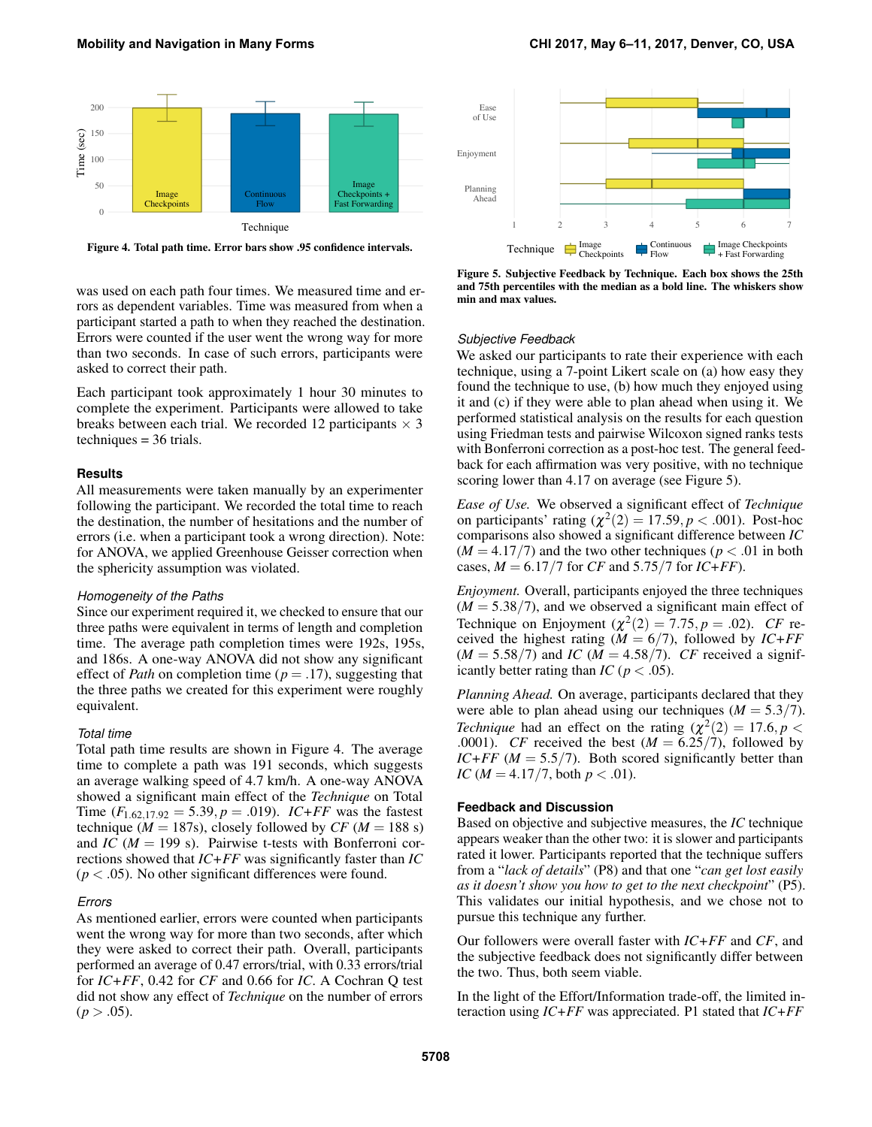<span id="page-5-0"></span>

Figure 4. Total path time. Error bars show .95 confidence intervals.

<span id="page-5-1"></span>

Figure 5. Subjective Feedback by Technique. Each box shows the 25th and 75th percentiles with the median as a bold line. The whiskers show min and max values.

was used on each path four times. We measured time and errors as dependent variables. Time was measured from when a participant started a path to when they reached the destination. Errors were counted if the user went the wrong way for more than two seconds. In case of such errors, participants were asked to correct their path.

Each participant took approximately 1 hour 30 minutes to complete the experiment. Participants were allowed to take breaks between each trial. We recorded 12 participants  $\times$  3 techniques = 36 trials.

#### **Results**

All measurements were taken manually by an experimenter following the participant. We recorded the total time to reach the destination, the number of hesitations and the number of errors (i.e. when a participant took a wrong direction). Note: for ANOVA, we applied Greenhouse Geisser correction when the sphericity assumption was violated.

#### *Homogeneity of the Paths*

Since our experiment required it, we checked to ensure that our three paths were equivalent in terms of length and completion time. The average path completion times were 192s, 195s, and 186s. A one-way ANOVA did not show any significant effect of *Path* on completion time (*p* = .17), suggesting that the three paths we created for this experiment were roughly equivalent.

#### *Total time*

Total path time results are shown in Figure [4.](#page-5-0) The average time to complete a path was 191 seconds, which suggests an average walking speed of 4.7 km/h. A one-way ANOVA showed a significant main effect of the *Technique* on Total Time  $(F_{1.62,17.92} = 5.39, p = .019)$ . *IC+FF* was the fastest technique ( $M = 187$ s), closely followed by *CF* ( $M = 188$  s) and *IC* (*M* = 199 s). Pairwise t-tests with Bonferroni corrections showed that *IC+FF* was significantly faster than *IC*  $(p < .05)$ . No other significant differences were found.

#### *Errors*

As mentioned earlier, errors were counted when participants went the wrong way for more than two seconds, after which they were asked to correct their path. Overall, participants performed an average of 0.47 errors/trial, with 0.33 errors/trial for *IC+FF*, 0.42 for *CF* and 0.66 for *IC*. A Cochran Q test did not show any effect of *Technique* on the number of errors  $(p > .05)$ .

#### *Subjective Feedback*

We asked our participants to rate their experience with each technique, using a 7-point Likert scale on (a) how easy they found the technique to use, (b) how much they enjoyed using it and (c) if they were able to plan ahead when using it. We performed statistical analysis on the results for each question using Friedman tests and pairwise Wilcoxon signed ranks tests with Bonferroni correction as a post-hoc test. The general feedback for each affirmation was very positive, with no technique scoring lower than 4.17 on average (see Figure [5\)](#page-5-1).

*Ease of Use.* We observed a significant effect of *Technique* on participants' rating  $(\chi^2(2) = 17.59, p < .001)$ . Post-hoc comparisons also showed a significant difference between *IC*  $(M = 4.17/7)$  and the two other techniques ( $p < .01$  in both cases,  $M = 6.17/7$  for *CF* and 5.75/7 for *IC+FF*).

*Enjoyment.* Overall, participants enjoyed the three techniques  $(M = 5.38/7)$ , and we observed a significant main effect of Technique on Enjoyment ( $\chi^2(2) = 7.75$ ,  $p = .02$ ). *CF* received the highest rating ( $M = 6/7$ ), followed by *IC+FF*  $(M = 5.58/7)$  and *IC*  $(M = 4.58/7)$ . *CF* received a significantly better rating than *IC* ( $p < .05$ ).

*Planning Ahead.* On average, participants declared that they were able to plan ahead using our techniques ( $M = 5.3/7$ ). *Technique* had an effect on the rating  $(\chi^2(2)) = 17.6, p <$ .0001). *CF* received the best  $(M = 6.25/7)$ , followed by *IC+FF* ( $M = 5.5/7$ ). Both scored significantly better than *IC* ( $M = 4.17/7$ , both  $p < .01$ ).

#### **Feedback and Discussion**

Based on objective and subjective measures, the *IC* technique appears weaker than the other two: it is slower and participants rated it lower. Participants reported that the technique suffers from a "*lack of details*" (P8) and that one "*can get lost easily as it doesn't show you how to get to the next checkpoint*" (P5). This validates our initial hypothesis, and we chose not to pursue this technique any further.

Our followers were overall faster with *IC+FF* and *CF*, and the subjective feedback does not significantly differ between the two. Thus, both seem viable.

In the light of the Effort/Information trade-off, the limited interaction using *IC+FF* was appreciated. P1 stated that *IC+FF*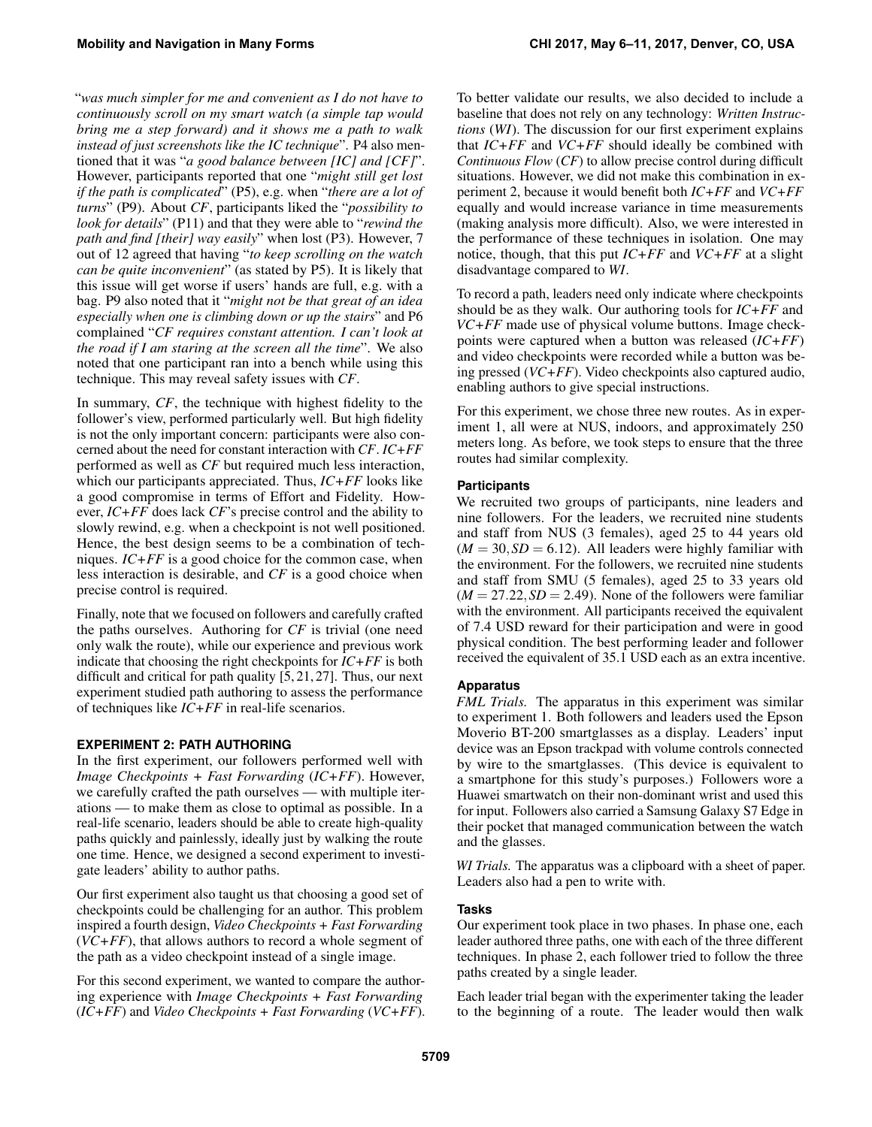"*was much simpler for me and convenient as I do not have to continuously scroll on my smart watch (a simple tap would bring me a step forward) and it shows me a path to walk instead of just screenshots like the IC technique*". P4 also mentioned that it was "*a good balance between [IC] and [CF]*". However, participants reported that one "*might still get lost if the path is complicated*" (P5), e.g. when "*there are a lot of turns*" (P9). About *CF*, participants liked the "*possibility to look for details*" (P11) and that they were able to "*rewind the path and find [their] way easily*" when lost (P3). However, 7 out of 12 agreed that having "*to keep scrolling on the watch can be quite inconvenient*" (as stated by P5). It is likely that this issue will get worse if users' hands are full, e.g. with a bag. P9 also noted that it "*might not be that great of an idea especially when one is climbing down or up the stairs*" and P6 complained "*CF requires constant attention. I can't look at the road if I am staring at the screen all the time*". We also noted that one participant ran into a bench while using this technique. This may reveal safety issues with *CF*.

In summary, *CF*, the technique with highest fidelity to the follower's view, performed particularly well. But high fidelity is not the only important concern: participants were also concerned about the need for constant interaction with *CF*. *IC+FF* performed as well as *CF* but required much less interaction, which our participants appreciated. Thus, *IC+FF* looks like a good compromise in terms of Effort and Fidelity. However, *IC+FF* does lack *CF*'s precise control and the ability to slowly rewind, e.g. when a checkpoint is not well positioned. Hence, the best design seems to be a combination of techniques. *IC+FF* is a good choice for the common case, when less interaction is desirable, and *CF* is a good choice when precise control is required.

Finally, note that we focused on followers and carefully crafted the paths ourselves. Authoring for *CF* is trivial (one need only walk the route), while our experience and previous work indicate that choosing the right checkpoints for *IC+FF* is both difficult and critical for path quality [\[5,](#page-10-3) [21,](#page-10-2) [27\]](#page-11-16). Thus, our next experiment studied path authoring to assess the performance of techniques like *IC+FF* in real-life scenarios.

# **EXPERIMENT 2: PATH AUTHORING**

In the first experiment, our followers performed well with *Image Checkpoints + Fast Forwarding* (*IC+FF*). However, we carefully crafted the path ourselves — with multiple iterations — to make them as close to optimal as possible. In a real-life scenario, leaders should be able to create high-quality paths quickly and painlessly, ideally just by walking the route one time. Hence, we designed a second experiment to investigate leaders' ability to author paths.

Our first experiment also taught us that choosing a good set of checkpoints could be challenging for an author. This problem inspired a fourth design, *Video Checkpoints + Fast Forwarding* (*VC+FF*), that allows authors to record a whole segment of the path as a video checkpoint instead of a single image.

For this second experiment, we wanted to compare the authoring experience with *Image Checkpoints + Fast Forwarding* (*IC+FF*) and *Video Checkpoints + Fast Forwarding* (*VC+FF*). To better validate our results, we also decided to include a baseline that does not rely on any technology: *Written Instructions* (*WI*). The discussion for our first experiment explains that *IC+FF* and *VC+FF* should ideally be combined with *Continuous Flow* (*CF*) to allow precise control during difficult situations. However, we did not make this combination in experiment 2, because it would benefit both *IC+FF* and *VC+FF* equally and would increase variance in time measurements (making analysis more difficult). Also, we were interested in the performance of these techniques in isolation. One may notice, though, that this put *IC+FF* and *VC+FF* at a slight disadvantage compared to *WI*.

To record a path, leaders need only indicate where checkpoints should be as they walk. Our authoring tools for *IC+FF* and *VC+FF* made use of physical volume buttons. Image checkpoints were captured when a button was released (*IC+FF*) and video checkpoints were recorded while a button was being pressed (*VC+FF*). Video checkpoints also captured audio, enabling authors to give special instructions.

For this experiment, we chose three new routes. As in experiment 1, all were at NUS, indoors, and approximately 250 meters long. As before, we took steps to ensure that the three routes had similar complexity.

# **Participants**

We recruited two groups of participants, nine leaders and nine followers. For the leaders, we recruited nine students and staff from NUS (3 females), aged 25 to 44 years old  $(M = 30, SD = 6.12)$ . All leaders were highly familiar with the environment. For the followers, we recruited nine students and staff from SMU (5 females), aged 25 to 33 years old  $(M = 27.22, SD = 2.49)$ . None of the followers were familiar with the environment. All participants received the equivalent of 7.4 USD reward for their participation and were in good physical condition. The best performing leader and follower received the equivalent of 35.1 USD each as an extra incentive.

# **Apparatus**

*FML Trials.* The apparatus in this experiment was similar to experiment 1. Both followers and leaders used the Epson Moverio BT-200 smartglasses as a display. Leaders' input device was an Epson trackpad with volume controls connected by wire to the smartglasses. (This device is equivalent to a smartphone for this study's purposes.) Followers wore a Huawei smartwatch on their non-dominant wrist and used this for input. Followers also carried a Samsung Galaxy S7 Edge in their pocket that managed communication between the watch and the glasses.

*WI Trials.* The apparatus was a clipboard with a sheet of paper. Leaders also had a pen to write with.

# **Tasks**

Our experiment took place in two phases. In phase one, each leader authored three paths, one with each of the three different techniques. In phase 2, each follower tried to follow the three paths created by a single leader.

Each leader trial began with the experimenter taking the leader to the beginning of a route. The leader would then walk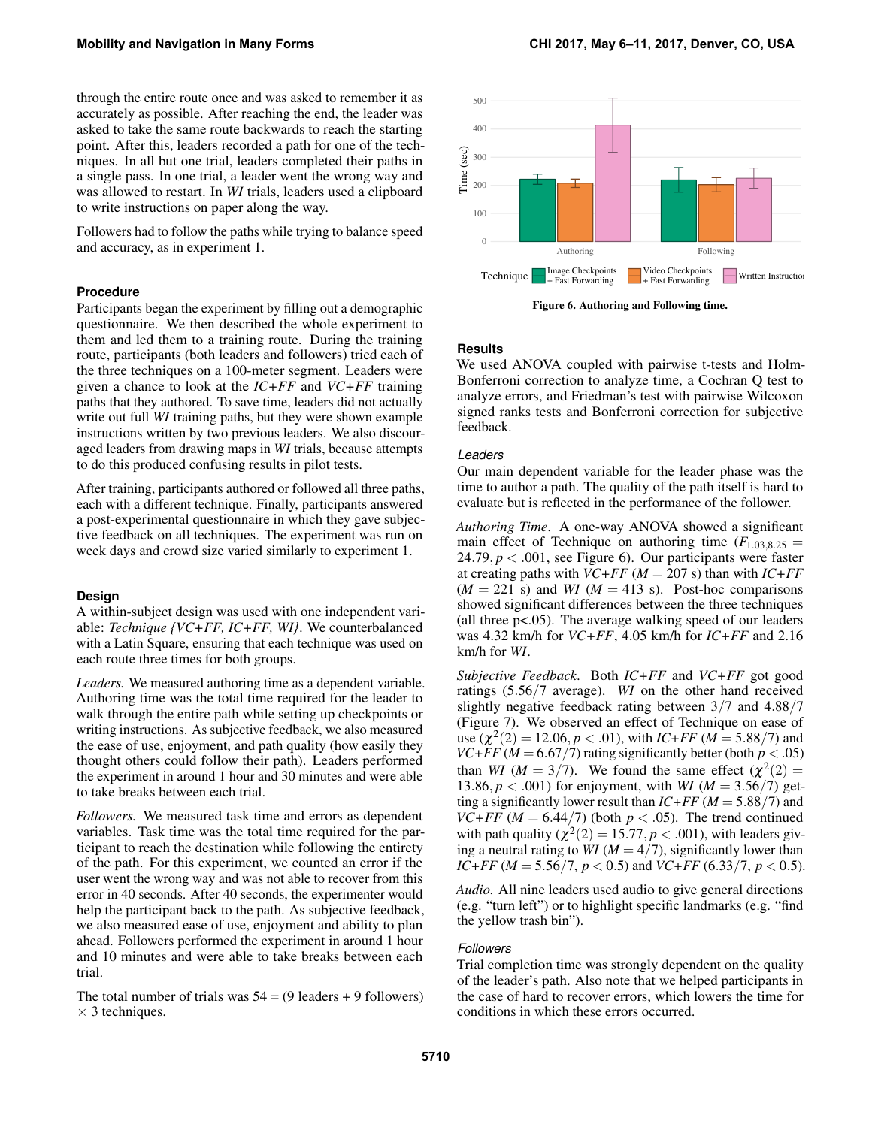through the entire route once and was asked to remember it as accurately as possible. After reaching the end, the leader was asked to take the same route backwards to reach the starting point. After this, leaders recorded a path for one of the techniques. In all but one trial, leaders completed their paths in a single pass. In one trial, a leader went the wrong way and was allowed to restart. In *WI* trials, leaders used a clipboard to write instructions on paper along the way.

Followers had to follow the paths while trying to balance speed and accuracy, as in experiment 1.

#### **Procedure**

Participants began the experiment by filling out a demographic questionnaire. We then described the whole experiment to them and led them to a training route. During the training route, participants (both leaders and followers) tried each of the three techniques on a 100-meter segment. Leaders were given a chance to look at the *IC+FF* and *VC+FF* training paths that they authored. To save time, leaders did not actually write out full *WI* training paths, but they were shown example instructions written by two previous leaders. We also discouraged leaders from drawing maps in *WI* trials, because attempts to do this produced confusing results in pilot tests.

After training, participants authored or followed all three paths, each with a different technique. Finally, participants answered a post-experimental questionnaire in which they gave subjective feedback on all techniques. The experiment was run on week days and crowd size varied similarly to experiment 1.

#### **Design**

A within-subject design was used with one independent variable: *Technique {VC+FF, IC+FF, WI}*. We counterbalanced with a Latin Square, ensuring that each technique was used on each route three times for both groups.

*Leaders.* We measured authoring time as a dependent variable. Authoring time was the total time required for the leader to walk through the entire path while setting up checkpoints or writing instructions. As subjective feedback, we also measured the ease of use, enjoyment, and path quality (how easily they thought others could follow their path). Leaders performed the experiment in around 1 hour and 30 minutes and were able to take breaks between each trial.

*Followers.* We measured task time and errors as dependent variables. Task time was the total time required for the participant to reach the destination while following the entirety of the path. For this experiment, we counted an error if the user went the wrong way and was not able to recover from this error in 40 seconds. After 40 seconds, the experimenter would help the participant back to the path. As subjective feedback, we also measured ease of use, enjoyment and ability to plan ahead. Followers performed the experiment in around 1 hour and 10 minutes and were able to take breaks between each trial.

The total number of trials was  $54 = (9 \text{ leaders} + 9 \text{ follows})$  $\times$  3 techniques.

<span id="page-7-0"></span>

Figure 6. Authoring and Following time.

#### **Results**

We used ANOVA coupled with pairwise t-tests and Holm-Bonferroni correction to analyze time, a Cochran Q test to analyze errors, and Friedman's test with pairwise Wilcoxon signed ranks tests and Bonferroni correction for subjective feedback.

## *Leaders*

Our main dependent variable for the leader phase was the time to author a path. The quality of the path itself is hard to evaluate but is reflected in the performance of the follower.

*Authoring Time*. A one-way ANOVA showed a significant main effect of Technique on authoring time  $(F_{1.03,8.25}$  = 24.79,  $p < .001$ , see Figure [6\)](#page-7-0). Our participants were faster at creating paths with *VC+FF* (*M* = 207 s) than with *IC+FF*  $(M = 221 \text{ s})$  and *WI*  $(M = 413 \text{ s})$ . Post-hoc comparisons showed significant differences between the three techniques (all three p<.05). The average walking speed of our leaders was 4.32 km/h for *VC+FF*, 4.05 km/h for *IC+FF* and 2.16 km/h for *WI*.

*Subjective Feedback*. Both *IC+FF* and *VC+FF* got good ratings (5.56/7 average). *WI* on the other hand received slightly negative feedback rating between 3/7 and 4.88/7 (Figure [7\)](#page-8-0). We observed an effect of Technique on ease of  $use (\chi^2(2) = 12.06, p < .01)$ , with *IC+FF* (*M* = 5.88/7) and *VC*+*FF* ( $M = 6.67/7$ ) rating significantly better (both  $p < .05$ ) than *WI* ( $M = 3/7$ ). We found the same effect ( $\chi^2(2) =$ 13.86,  $p < .001$ ) for enjoyment, with *WI* ( $M = 3.56/7$ ) getting a significantly lower result than  $IC+FF$  ( $M = 5.88/7$ ) and *VC+FF* ( $M = 6.44/7$ ) (both  $p < .05$ ). The trend continued with path quality  $(\chi^2(2) = 15.77, p < .001)$ , with leaders giving a neutral rating to *WI* ( $M = 4/7$ ), significantly lower than *IC+FF* (*M* = 5.56/7, *p* < 0.5) and *VC+FF* (6.33/7, *p* < 0.5).

*Audio.* All nine leaders used audio to give general directions (e.g. "turn left") or to highlight specific landmarks (e.g. "find the yellow trash bin").

#### *Followers*

Trial completion time was strongly dependent on the quality of the leader's path. Also note that we helped participants in the case of hard to recover errors, which lowers the time for conditions in which these errors occurred.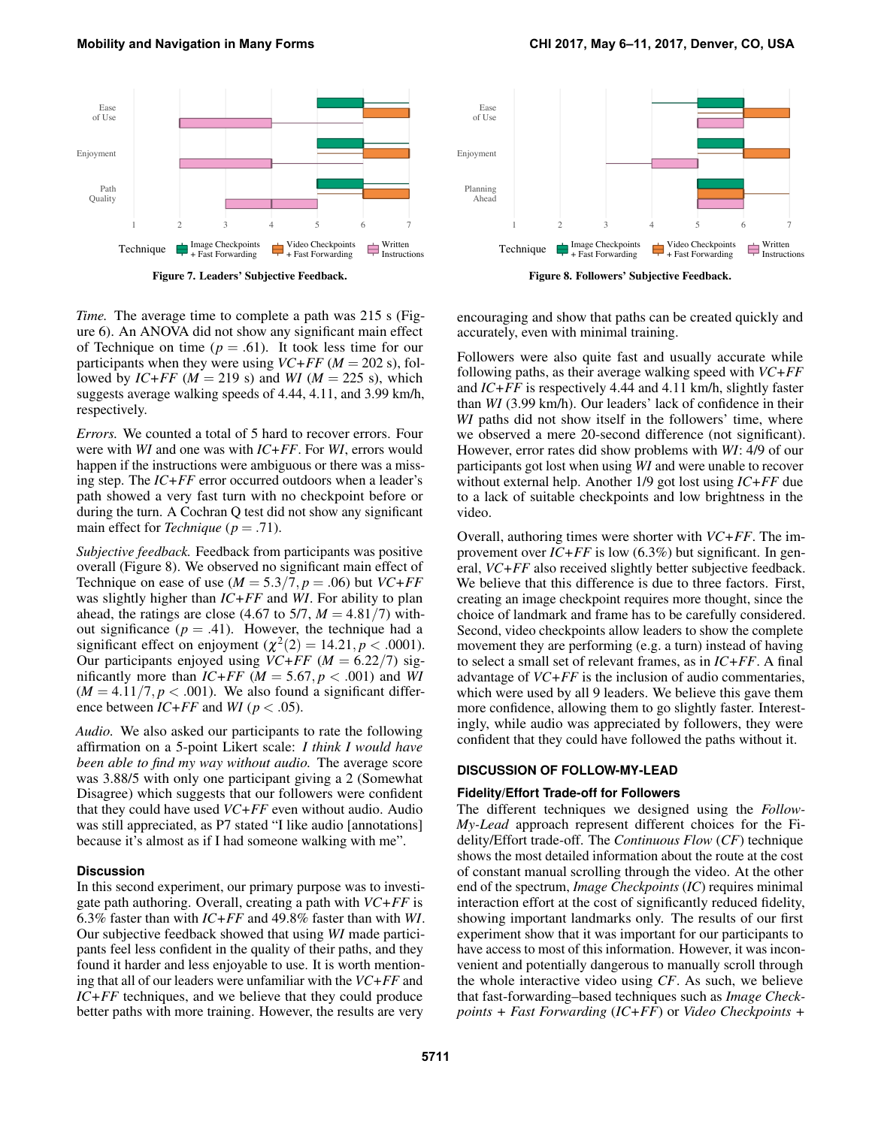*Time.* The average time to complete a path was 215 s (Figure [6\)](#page-7-0). An ANOVA did not show any significant main effect of Technique on time  $(p=.61)$ . It took less time for our participants when they were using  $VC+FF$  ( $M = 202$  s), followed by *IC+FF* ( $M = 219$  s) and *WI* ( $M = 225$  s), which suggests average walking speeds of 4.44, 4.11, and 3.99 km/h, respectively.

*Errors.* We counted a total of 5 hard to recover errors. Four were with *WI* and one was with *IC+FF*. For *WI*, errors would happen if the instructions were ambiguous or there was a missing step. The *IC+FF* error occurred outdoors when a leader's path showed a very fast turn with no checkpoint before or during the turn. A Cochran Q test did not show any significant main effect for *Technique* (*p* = .71).

*Subjective feedback.* Feedback from participants was positive overall (Figure [8\)](#page-8-1). We observed no significant main effect of Technique on ease of use  $(M = 5.3/7, p = .06)$  but  $VC+FF$ was slightly higher than *IC+FF* and *WI*. For ability to plan ahead, the ratings are close (4.67 to 5/7,  $M = 4.81/7$ ) without significance  $(p = .41)$ . However, the technique had a significant effect on enjoyment  $(\chi^2(2) = 14.21, p < .0001)$ . Our participants enjoyed using  $VC+FF$  ( $M = 6.22/7$ ) significantly more than  $IC+FF$  ( $M = 5.67, p < .001$ ) and WI  $(M = 4.11/7, p < .001)$ . We also found a significant difference between  $IC+FF$  and  $WI$  ( $p < .05$ ).

*Audio.* We also asked our participants to rate the following affirmation on a 5-point Likert scale: *I think I would have been able to find my way without audio.* The average score was 3.88/5 with only one participant giving a 2 (Somewhat Disagree) which suggests that our followers were confident that they could have used *VC+FF* even without audio. Audio was still appreciated, as P7 stated "I like audio [annotations] because it's almost as if I had someone walking with me".

## **Discussion**

In this second experiment, our primary purpose was to investigate path authoring. Overall, creating a path with *VC+FF* is 6.3% faster than with *IC+FF* and 49.8% faster than with *WI*. Our subjective feedback showed that using *WI* made participants feel less confident in the quality of their paths, and they found it harder and less enjoyable to use. It is worth mentioning that all of our leaders were unfamiliar with the *VC+FF* and *IC+FF* techniques, and we believe that they could produce better paths with more training. However, the results are very

encouraging and show that paths can be created quickly and accurately, even with minimal training.

Followers were also quite fast and usually accurate while following paths, as their average walking speed with *VC+FF* and *IC+FF* is respectively 4.44 and 4.11 km/h, slightly faster than *WI* (3.99 km/h). Our leaders' lack of confidence in their *WI* paths did not show itself in the followers' time, where we observed a mere 20-second difference (not significant). However, error rates did show problems with *WI*: 4/9 of our participants got lost when using *WI* and were unable to recover without external help. Another 1/9 got lost using *IC+FF* due to a lack of suitable checkpoints and low brightness in the video.

Overall, authoring times were shorter with *VC+FF*. The improvement over *IC+FF* is low (6.3%) but significant. In general, *VC+FF* also received slightly better subjective feedback. We believe that this difference is due to three factors. First, creating an image checkpoint requires more thought, since the choice of landmark and frame has to be carefully considered. Second, video checkpoints allow leaders to show the complete movement they are performing (e.g. a turn) instead of having to select a small set of relevant frames, as in *IC+FF*. A final advantage of *VC+FF* is the inclusion of audio commentaries, which were used by all 9 leaders. We believe this gave them more confidence, allowing them to go slightly faster. Interestingly, while audio was appreciated by followers, they were confident that they could have followed the paths without it.

#### **DISCUSSION OF FOLLOW-MY-LEAD**

# **Fidelity/Effort Trade-off for Followers**

The different techniques we designed using the *Follow-My-Lead* approach represent different choices for the Fidelity/Effort trade-off. The *Continuous Flow* (*CF*) technique shows the most detailed information about the route at the cost of constant manual scrolling through the video. At the other end of the spectrum, *Image Checkpoints* (*IC*) requires minimal interaction effort at the cost of significantly reduced fidelity, showing important landmarks only. The results of our first experiment show that it was important for our participants to have access to most of this information. However, it was inconvenient and potentially dangerous to manually scroll through the whole interactive video using *CF*. As such, we believe that fast-forwarding–based techniques such as *Image Checkpoints + Fast Forwarding* (*IC+FF*) or *Video Checkpoints +*

<span id="page-8-0"></span>

<span id="page-8-1"></span>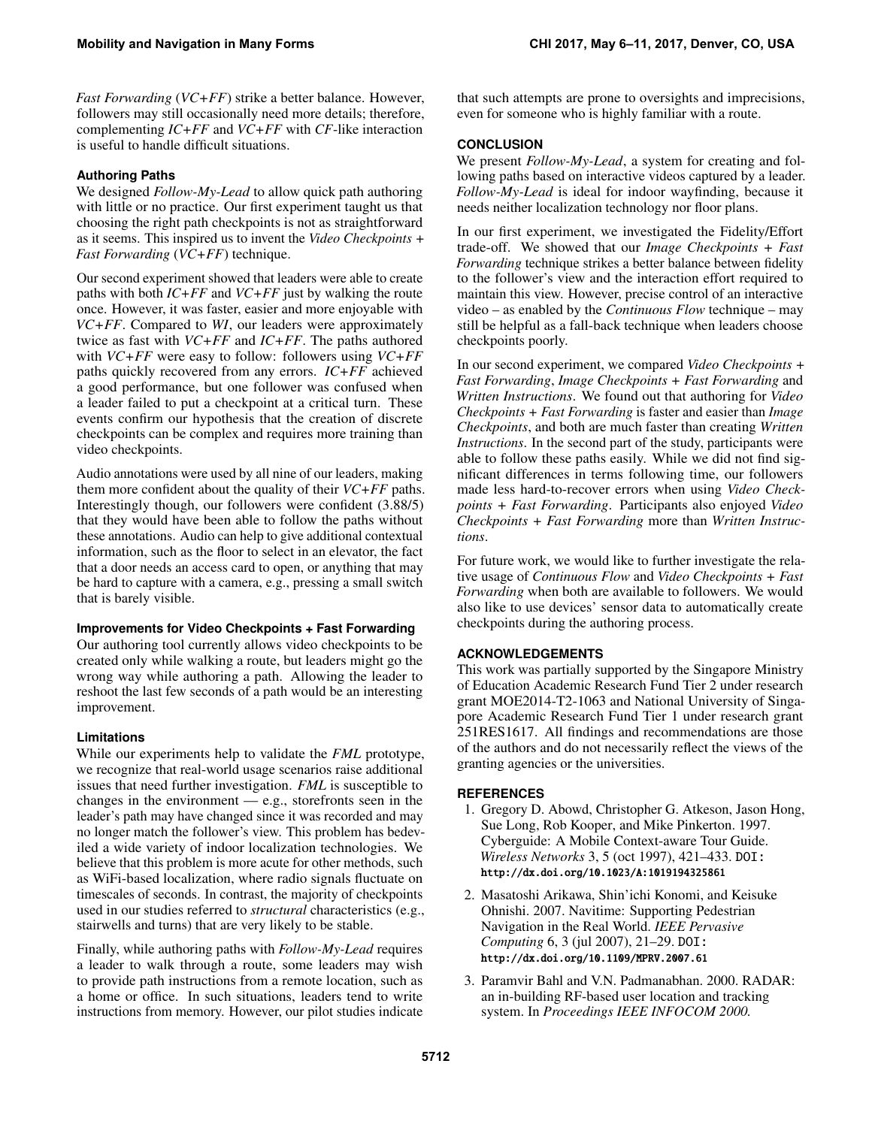*Fast Forwarding* (*VC+FF*) strike a better balance. However, followers may still occasionally need more details; therefore, complementing *IC+FF* and *VC+FF* with *CF*-like interaction is useful to handle difficult situations.

# **Authoring Paths**

We designed *Follow-My-Lead* to allow quick path authoring with little or no practice. Our first experiment taught us that choosing the right path checkpoints is not as straightforward as it seems. This inspired us to invent the *Video Checkpoints + Fast Forwarding* (*VC+FF*) technique.

Our second experiment showed that leaders were able to create paths with both *IC+FF* and *VC+FF* just by walking the route once. However, it was faster, easier and more enjoyable with *VC+FF*. Compared to *WI*, our leaders were approximately twice as fast with *VC+FF* and *IC+FF*. The paths authored with *VC+FF* were easy to follow: followers using *VC+FF* paths quickly recovered from any errors. *IC+FF* achieved a good performance, but one follower was confused when a leader failed to put a checkpoint at a critical turn. These events confirm our hypothesis that the creation of discrete checkpoints can be complex and requires more training than video checkpoints.

Audio annotations were used by all nine of our leaders, making them more confident about the quality of their *VC+FF* paths. Interestingly though, our followers were confident (3.88/5) that they would have been able to follow the paths without these annotations. Audio can help to give additional contextual information, such as the floor to select in an elevator, the fact that a door needs an access card to open, or anything that may be hard to capture with a camera, e.g., pressing a small switch that is barely visible.

# **Improvements for Video Checkpoints + Fast Forwarding**

Our authoring tool currently allows video checkpoints to be created only while walking a route, but leaders might go the wrong way while authoring a path. Allowing the leader to reshoot the last few seconds of a path would be an interesting improvement.

# **Limitations**

While our experiments help to validate the *FML* prototype, we recognize that real-world usage scenarios raise additional issues that need further investigation. *FML* is susceptible to changes in the environment — e.g., storefronts seen in the leader's path may have changed since it was recorded and may no longer match the follower's view. This problem has bedeviled a wide variety of indoor localization technologies. We believe that this problem is more acute for other methods, such as WiFi-based localization, where radio signals fluctuate on timescales of seconds. In contrast, the majority of checkpoints used in our studies referred to *structural* characteristics (e.g., stairwells and turns) that are very likely to be stable.

Finally, while authoring paths with *Follow-My-Lead* requires a leader to walk through a route, some leaders may wish to provide path instructions from a remote location, such as a home or office. In such situations, leaders tend to write instructions from memory. However, our pilot studies indicate

that such attempts are prone to oversights and imprecisions, even for someone who is highly familiar with a route.

# **CONCLUSION**

We present *Follow-My-Lead*, a system for creating and following paths based on interactive videos captured by a leader. *Follow-My-Lead* is ideal for indoor wayfinding, because it needs neither localization technology nor floor plans.

In our first experiment, we investigated the Fidelity/Effort trade-off. We showed that our *Image Checkpoints + Fast Forwarding* technique strikes a better balance between fidelity to the follower's view and the interaction effort required to maintain this view. However, precise control of an interactive video – as enabled by the *Continuous Flow* technique – may still be helpful as a fall-back technique when leaders choose checkpoints poorly.

In our second experiment, we compared *Video Checkpoints + Fast Forwarding*, *Image Checkpoints + Fast Forwarding* and *Written Instructions*. We found out that authoring for *Video Checkpoints + Fast Forwarding* is faster and easier than *Image Checkpoints*, and both are much faster than creating *Written Instructions*. In the second part of the study, participants were able to follow these paths easily. While we did not find significant differences in terms following time, our followers made less hard-to-recover errors when using *Video Checkpoints + Fast Forwarding*. Participants also enjoyed *Video Checkpoints + Fast Forwarding* more than *Written Instructions*.

For future work, we would like to further investigate the relative usage of *Continuous Flow* and *Video Checkpoints + Fast Forwarding* when both are available to followers. We would also like to use devices' sensor data to automatically create checkpoints during the authoring process.

# **ACKNOWLEDGEMENTS**

This work was partially supported by the Singapore Ministry of Education Academic Research Fund Tier 2 under research grant MOE2014-T2-1063 and National University of Singapore Academic Research Fund Tier 1 under research grant 251RES1617. All findings and recommendations are those of the authors and do not necessarily reflect the views of the granting agencies or the universities.

# <span id="page-9-0"></span>**REFERENCES**

- 1. Gregory D. Abowd, Christopher G. Atkeson, Jason Hong, Sue Long, Rob Kooper, and Mike Pinkerton. 1997. Cyberguide: A Mobile Context-aware Tour Guide. *Wireless Networks* 3, 5 (oct 1997), 421–433. DOI: <http://dx.doi.org/10.1023/A:1019194325861>
- <span id="page-9-1"></span>2. Masatoshi Arikawa, Shin'ichi Konomi, and Keisuke Ohnishi. 2007. Navitime: Supporting Pedestrian Navigation in the Real World. *IEEE Pervasive Computing* 6, 3 (jul 2007), 21–29. DOI: <http://dx.doi.org/10.1109/MPRV.2007.61>
- <span id="page-9-2"></span>3. Paramvir Bahl and V.N. Padmanabhan. 2000. RADAR: an in-building RF-based user location and tracking system. In *Proceedings IEEE INFOCOM 2000.*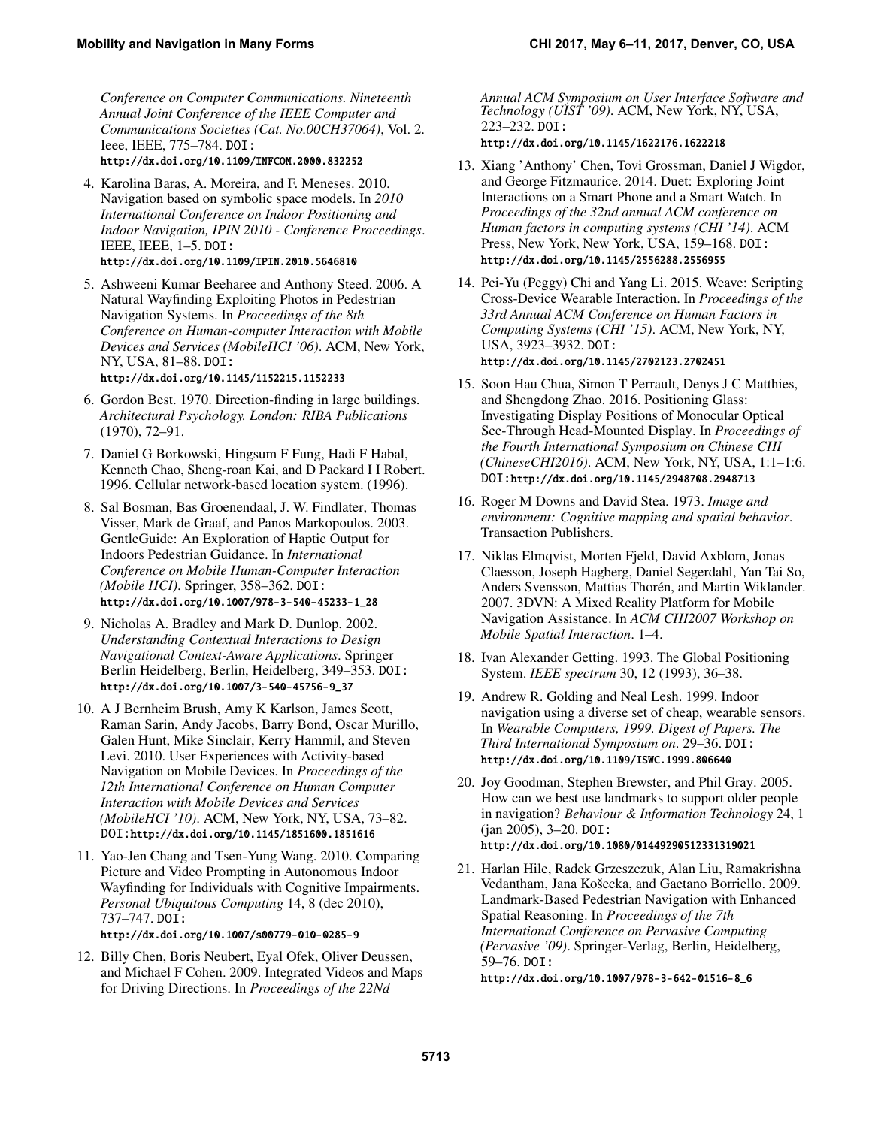*Conference on Computer Communications. Nineteenth Annual Joint Conference of the IEEE Computer and Communications Societies (Cat. No.00CH37064)*, Vol. 2. Ieee, IEEE, 775–784. DOI:

<http://dx.doi.org/10.1109/INFCOM.2000.832252>

- <span id="page-10-8"></span>4. Karolina Baras, A. Moreira, and F. Meneses. 2010. Navigation based on symbolic space models. In *2010 International Conference on Indoor Positioning and Indoor Navigation, IPIN 2010 - Conference Proceedings*. IEEE, IEEE, 1–5. DOI: <http://dx.doi.org/10.1109/IPIN.2010.5646810>
- <span id="page-10-3"></span>5. Ashweeni Kumar Beeharee and Anthony Steed. 2006. A Natural Wayfinding Exploiting Photos in Pedestrian Navigation Systems. In *Proceedings of the 8th Conference on Human-computer Interaction with Mobile Devices and Services (MobileHCI '06)*. ACM, New York, NY, USA, 81–88. DOI: <http://dx.doi.org/10.1145/1152215.1152233>

<span id="page-10-9"></span>6. Gordon Best. 1970. Direction-finding in large buildings. *Architectural Psychology. London: RIBA Publications*

(1970), 72–91.

- <span id="page-10-5"></span>7. Daniel G Borkowski, Hingsum F Fung, Hadi F Habal, Kenneth Chao, Sheng-roan Kai, and D Packard I I Robert. 1996. Cellular network-based location system. (1996).
- <span id="page-10-13"></span>8. Sal Bosman, Bas Groenendaal, J. W. Findlater, Thomas Visser, Mark de Graaf, and Panos Markopoulos. 2003. GentleGuide: An Exploration of Haptic Output for Indoors Pedestrian Guidance. In *International Conference on Mobile Human-Computer Interaction (Mobile HCI)*. Springer, 358–362. DOI: [http://dx.doi.org/10.1007/978-3-540-45233-1\\_28](http://dx.doi.org/10.1007/978-3-540-45233-1_28)
- <span id="page-10-12"></span>9. Nicholas A. Bradley and Mark D. Dunlop. 2002. *Understanding Contextual Interactions to Design Navigational Context-Aware Applications*. Springer Berlin Heidelberg, Berlin, Heidelberg, 349–353. DOI: [http://dx.doi.org/10.1007/3-540-45756-9\\_37](http://dx.doi.org/10.1007/3-540-45756-9_37)
- <span id="page-10-10"></span>10. A J Bernheim Brush, Amy K Karlson, James Scott, Raman Sarin, Andy Jacobs, Barry Bond, Oscar Murillo, Galen Hunt, Mike Sinclair, Kerry Hammil, and Steven Levi. 2010. User Experiences with Activity-based Navigation on Mobile Devices. In *Proceedings of the 12th International Conference on Human Computer Interaction with Mobile Devices and Services (MobileHCI '10)*. ACM, New York, NY, USA, 73–82. DOI:<http://dx.doi.org/10.1145/1851600.1851616>
- <span id="page-10-1"></span>11. Yao-Jen Chang and Tsen-Yung Wang. 2010. Comparing Picture and Video Prompting in Autonomous Indoor Wayfinding for Individuals with Cognitive Impairments. *Personal Ubiquitous Computing* 14, 8 (dec 2010), 737–747. DOI:

#### <http://dx.doi.org/10.1007/s00779-010-0285-9>

<span id="page-10-14"></span>12. Billy Chen, Boris Neubert, Eyal Ofek, Oliver Deussen, and Michael F Cohen. 2009. Integrated Videos and Maps for Driving Directions. In *Proceedings of the 22Nd*

*Annual ACM Symposium on User Interface Software and Technology (UIST '09)*. ACM, New York, NY, USA, 223–232. DOI:

<http://dx.doi.org/10.1145/1622176.1622218>

- <span id="page-10-15"></span>13. Xiang 'Anthony' Chen, Tovi Grossman, Daniel J Wigdor, and George Fitzmaurice. 2014. Duet: Exploring Joint Interactions on a Smart Phone and a Smart Watch. In *Proceedings of the 32nd annual ACM conference on Human factors in computing systems (CHI '14)*. ACM Press, New York, New York, USA, 159–168. DOI: <http://dx.doi.org/10.1145/2556288.2556955>
- <span id="page-10-16"></span>14. Pei-Yu (Peggy) Chi and Yang Li. 2015. Weave: Scripting Cross-Device Wearable Interaction. In *Proceedings of the 33rd Annual ACM Conference on Human Factors in Computing Systems (CHI '15)*. ACM, New York, NY, USA, 3923–3932. DOI: <http://dx.doi.org/10.1145/2702123.2702451>
- <span id="page-10-17"></span>15. Soon Hau Chua, Simon T Perrault, Denys J C Matthies, and Shengdong Zhao. 2016. Positioning Glass: Investigating Display Positions of Monocular Optical See-Through Head-Mounted Display. In *Proceedings of the Fourth International Symposium on Chinese CHI (ChineseCHI2016)*. ACM, New York, NY, USA, 1:1–1:6. DOI:<http://dx.doi.org/10.1145/2948708.2948713>
- <span id="page-10-0"></span>16. Roger M Downs and David Stea. 1973. *Image and environment: Cognitive mapping and spatial behavior*. Transaction Publishers.
- <span id="page-10-6"></span>17. Niklas Elmqvist, Morten Fjeld, David Axblom, Jonas Claesson, Joseph Hagberg, Daniel Segerdahl, Yan Tai So, Anders Svensson, Mattias Thorén, and Martin Wiklander. 2007. 3DVN: A Mixed Reality Platform for Mobile Navigation Assistance. In *ACM CHI2007 Workshop on Mobile Spatial Interaction*. 1–4.
- <span id="page-10-4"></span>18. Ivan Alexander Getting. 1993. The Global Positioning System. *IEEE spectrum* 30, 12 (1993), 36–38.
- <span id="page-10-7"></span>19. Andrew R. Golding and Neal Lesh. 1999. Indoor navigation using a diverse set of cheap, wearable sensors. In *Wearable Computers, 1999. Digest of Papers. The Third International Symposium on*. 29–36. DOI: <http://dx.doi.org/10.1109/ISWC.1999.806640>
- <span id="page-10-11"></span>20. Joy Goodman, Stephen Brewster, and Phil Gray. 2005. How can we best use landmarks to support older people in navigation? *Behaviour & Information Technology* 24, 1 (jan 2005), 3–20. DOI: <http://dx.doi.org/10.1080/01449290512331319021>
- <span id="page-10-2"></span>21. Harlan Hile, Radek Grzeszczuk, Alan Liu, Ramakrishna Vedantham, Jana Košecka, and Gaetano Borriello. 2009. Landmark-Based Pedestrian Navigation with Enhanced Spatial Reasoning. In *Proceedings of the 7th International Conference on Pervasive Computing (Pervasive '09)*. Springer-Verlag, Berlin, Heidelberg, 59–76. DOI:

[http://dx.doi.org/10.1007/978-3-642-01516-8\\_6](http://dx.doi.org/10.1007/978-3-642-01516-8_6)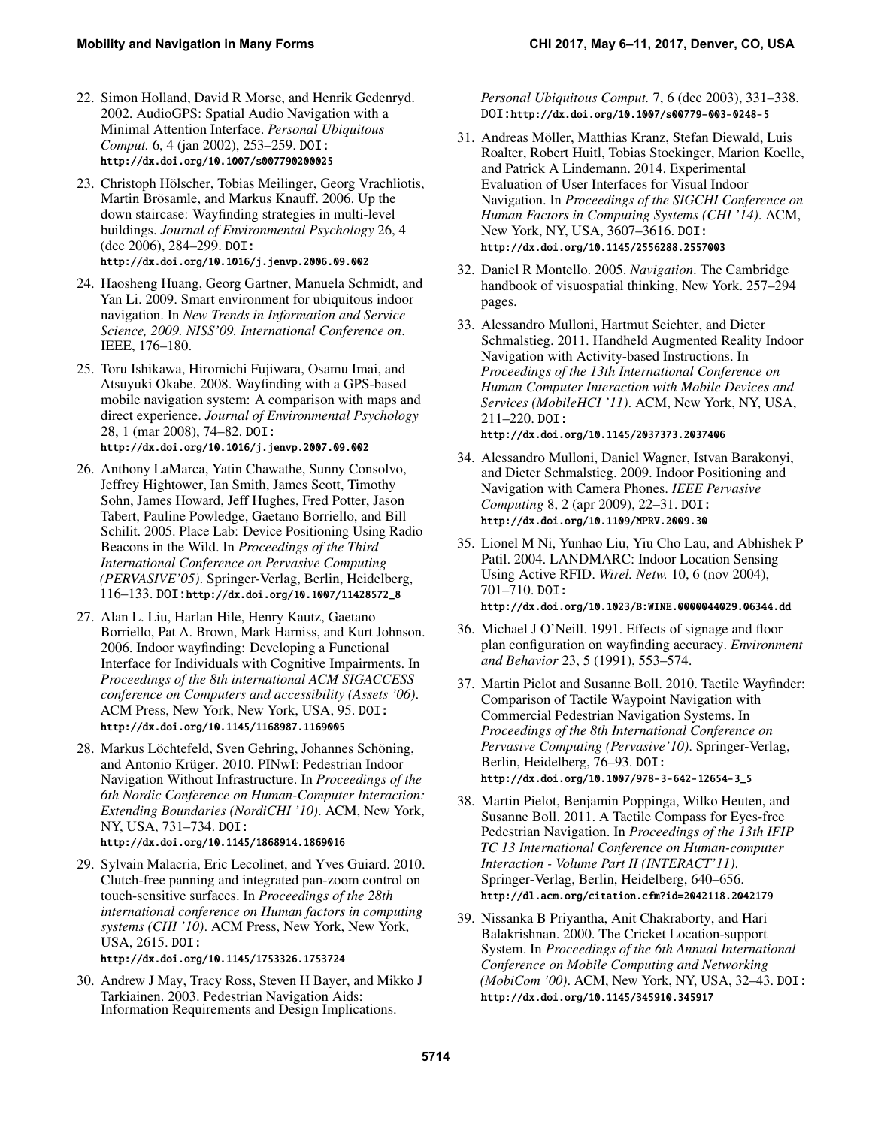- <span id="page-11-12"></span>22. Simon Holland, David R Morse, and Henrik Gedenryd. 2002. AudioGPS: Spatial Audio Navigation with a Minimal Attention Interface. *Personal Ubiquitous Comput.* 6, 4 (jan 2002), 253–259. DOI: <http://dx.doi.org/10.1007/s007790200025>
- <span id="page-11-3"></span>23. Christoph Hölscher, Tobias Meilinger, Georg Vrachliotis, Martin Brösamle, and Markus Knauff. 2006. Up the down staircase: Wayfinding strategies in multi-level buildings. *Journal of Environmental Psychology* 26, 4 (dec 2006), 284–299. DOI: <http://dx.doi.org/10.1016/j.jenvp.2006.09.002>
- <span id="page-11-7"></span>24. Haosheng Huang, Georg Gartner, Manuela Schmidt, and Yan Li. 2009. Smart environment for ubiquitous indoor navigation. In *New Trends in Information and Service Science, 2009. NISS'09. International Conference on*. IEEE, 176–180.
- <span id="page-11-1"></span>25. Toru Ishikawa, Hiromichi Fujiwara, Osamu Imai, and Atsuyuki Okabe. 2008. Wayfinding with a GPS-based mobile navigation system: A comparison with maps and direct experience. *Journal of Environmental Psychology* 28, 1 (mar 2008), 74–82. DOI: <http://dx.doi.org/10.1016/j.jenvp.2007.09.002>
- <span id="page-11-6"></span>26. Anthony LaMarca, Yatin Chawathe, Sunny Consolvo, Jeffrey Hightower, Ian Smith, James Scott, Timothy Sohn, James Howard, Jeff Hughes, Fred Potter, Jason Tabert, Pauline Powledge, Gaetano Borriello, and Bill Schilit. 2005. Place Lab: Device Positioning Using Radio Beacons in the Wild. In *Proceedings of the Third International Conference on Pervasive Computing (PERVASIVE'05)*. Springer-Verlag, Berlin, Heidelberg, 116–133. DOI:[http://dx.doi.org/10.1007/11428572\\_8](http://dx.doi.org/10.1007/11428572_8)
- <span id="page-11-16"></span>27. Alan L. Liu, Harlan Hile, Henry Kautz, Gaetano Borriello, Pat A. Brown, Mark Harniss, and Kurt Johnson. 2006. Indoor wayfinding: Developing a Functional Interface for Individuals with Cognitive Impairments. In *Proceedings of the 8th international ACM SIGACCESS conference on Computers and accessibility (Assets '06)*. ACM Press, New York, New York, USA, 95. DOI: <http://dx.doi.org/10.1145/1168987.1169005>
- <span id="page-11-2"></span>28. Markus Löchtefeld, Sven Gehring, Johannes Schöning, and Antonio Krüger. 2010. PINwI: Pedestrian Indoor Navigation Without Infrastructure. In *Proceedings of the 6th Nordic Conference on Human-Computer Interaction: Extending Boundaries (NordiCHI '10)*. ACM, New York, NY, USA, 731–734. DOI: <http://dx.doi.org/10.1145/1868914.1869016>
- <span id="page-11-17"></span>29. Sylvain Malacria, Eric Lecolinet, and Yves Guiard. 2010. Clutch-free panning and integrated pan-zoom control on touch-sensitive surfaces. In *Proceedings of the 28th international conference on Human factors in computing systems (CHI '10)*. ACM Press, New York, New York, USA, 2615. DOI:

## <http://dx.doi.org/10.1145/1753326.1753724>

<span id="page-11-13"></span>30. Andrew J May, Tracy Ross, Steven H Bayer, and Mikko J Tarkiainen. 2003. Pedestrian Navigation Aids: Information Requirements and Design Implications.

*Personal Ubiquitous Comput.* 7, 6 (dec 2003), 331–338. DOI:<http://dx.doi.org/10.1007/s00779-003-0248-5>

- <span id="page-11-9"></span>31. Andreas Möller, Matthias Kranz, Stefan Diewald, Luis Roalter, Robert Huitl, Tobias Stockinger, Marion Koelle, and Patrick A Lindemann. 2014. Experimental Evaluation of User Interfaces for Visual Indoor Navigation. In *Proceedings of the SIGCHI Conference on Human Factors in Computing Systems (CHI '14)*. ACM, New York, NY, USA, 3607–3616. DOI: <http://dx.doi.org/10.1145/2556288.2557003>
- <span id="page-11-10"></span>32. Daniel R Montello. 2005. *Navigation*. The Cambridge handbook of visuospatial thinking, New York. 257–294 pages.
- <span id="page-11-11"></span>33. Alessandro Mulloni, Hartmut Seichter, and Dieter Schmalstieg. 2011. Handheld Augmented Reality Indoor Navigation with Activity-based Instructions. In *Proceedings of the 13th International Conference on Human Computer Interaction with Mobile Devices and Services (MobileHCI '11)*. ACM, New York, NY, USA, 211–220. DOI:

#### <http://dx.doi.org/10.1145/2037373.2037406>

- <span id="page-11-8"></span>34. Alessandro Mulloni, Daniel Wagner, Istvan Barakonyi, and Dieter Schmalstieg. 2009. Indoor Positioning and Navigation with Camera Phones. *IEEE Pervasive Computing* 8, 2 (apr 2009), 22–31. DOI: <http://dx.doi.org/10.1109/MPRV.2009.30>
- <span id="page-11-4"></span>35. Lionel M Ni, Yunhao Liu, Yiu Cho Lau, and Abhishek P Patil. 2004. LANDMARC: Indoor Location Sensing Using Active RFID. *Wirel. Netw.* 10, 6 (nov 2004), 701–710. DOI: <http://dx.doi.org/10.1023/B:WINE.0000044029.06344.dd>
- <span id="page-11-0"></span>36. Michael J O'Neill. 1991. Effects of signage and floor
- plan configuration on wayfinding accuracy. *Environment and Behavior* 23, 5 (1991), 553–574.
- <span id="page-11-15"></span>37. Martin Pielot and Susanne Boll. 2010. Tactile Wayfinder: Comparison of Tactile Waypoint Navigation with Commercial Pedestrian Navigation Systems. In *Proceedings of the 8th International Conference on Pervasive Computing (Pervasive'10)*. Springer-Verlag, Berlin, Heidelberg, 76–93. DOI: [http://dx.doi.org/10.1007/978-3-642-12654-3\\_5](http://dx.doi.org/10.1007/978-3-642-12654-3_5)
- <span id="page-11-14"></span>38. Martin Pielot, Benjamin Poppinga, Wilko Heuten, and Susanne Boll. 2011. A Tactile Compass for Eyes-free Pedestrian Navigation. In *Proceedings of the 13th IFIP TC 13 International Conference on Human-computer Interaction - Volume Part II (INTERACT'11)*. Springer-Verlag, Berlin, Heidelberg, 640–656. <http://dl.acm.org/citation.cfm?id=2042118.2042179>
- <span id="page-11-5"></span>39. Nissanka B Priyantha, Anit Chakraborty, and Hari Balakrishnan. 2000. The Cricket Location-support System. In *Proceedings of the 6th Annual International Conference on Mobile Computing and Networking (MobiCom '00)*. ACM, New York, NY, USA, 32–43. DOI: <http://dx.doi.org/10.1145/345910.345917>